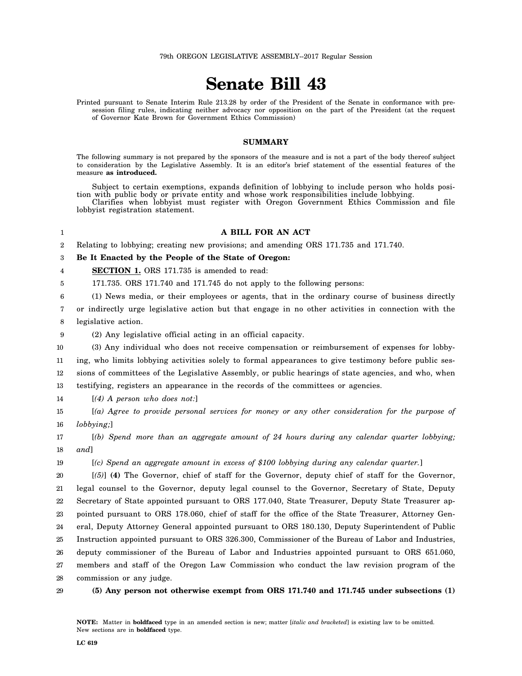## **Senate Bill 43**

Printed pursuant to Senate Interim Rule 213.28 by order of the President of the Senate in conformance with presession filing rules, indicating neither advocacy nor opposition on the part of the President (at the request of Governor Kate Brown for Government Ethics Commission)

## **SUMMARY**

The following summary is not prepared by the sponsors of the measure and is not a part of the body thereof subject to consideration by the Legislative Assembly. It is an editor's brief statement of the essential features of the measure **as introduced.**

Subject to certain exemptions, expands definition of lobbying to include person who holds position with public body or private entity and whose work responsibilities include lobbying. Clarifies when lobbyist must register with Oregon Government Ethics Commission and file

lobbyist registration statement.

## 1

19

## **A BILL FOR AN ACT**

2 Relating to lobbying; creating new provisions; and amending ORS 171.735 and 171.740.

3 **Be It Enacted by the People of the State of Oregon:**

4 **SECTION 1.** ORS 171.735 is amended to read:

5 171.735. ORS 171.740 and 171.745 do not apply to the following persons:

6 (1) News media, or their employees or agents, that in the ordinary course of business directly

7 8 or indirectly urge legislative action but that engage in no other activities in connection with the legislative action.

9

(2) Any legislative official acting in an official capacity.

10 (3) Any individual who does not receive compensation or reimbursement of expenses for lobby-

11 12 13 ing, who limits lobbying activities solely to formal appearances to give testimony before public sessions of committees of the Legislative Assembly, or public hearings of state agencies, and who, when testifying, registers an appearance in the records of the committees or agencies.

14 [*(4) A person who does not:*]

15 16 [*(a) Agree to provide personal services for money or any other consideration for the purpose of lobbying;*]

17 18 [*(b) Spend more than an aggregate amount of 24 hours during any calendar quarter lobbying; and*]

[*(c) Spend an aggregate amount in excess of \$100 lobbying during any calendar quarter.*]

20 21 22 23 24 25 26 27 28 [*(5)*] **(4)** The Governor, chief of staff for the Governor, deputy chief of staff for the Governor, legal counsel to the Governor, deputy legal counsel to the Governor, Secretary of State, Deputy Secretary of State appointed pursuant to ORS 177.040, State Treasurer, Deputy State Treasurer appointed pursuant to ORS 178.060, chief of staff for the office of the State Treasurer, Attorney General, Deputy Attorney General appointed pursuant to ORS 180.130, Deputy Superintendent of Public Instruction appointed pursuant to ORS 326.300, Commissioner of the Bureau of Labor and Industries, deputy commissioner of the Bureau of Labor and Industries appointed pursuant to ORS 651.060, members and staff of the Oregon Law Commission who conduct the law revision program of the commission or any judge.

29 **(5) Any person not otherwise exempt from ORS 171.740 and 171.745 under subsections (1)**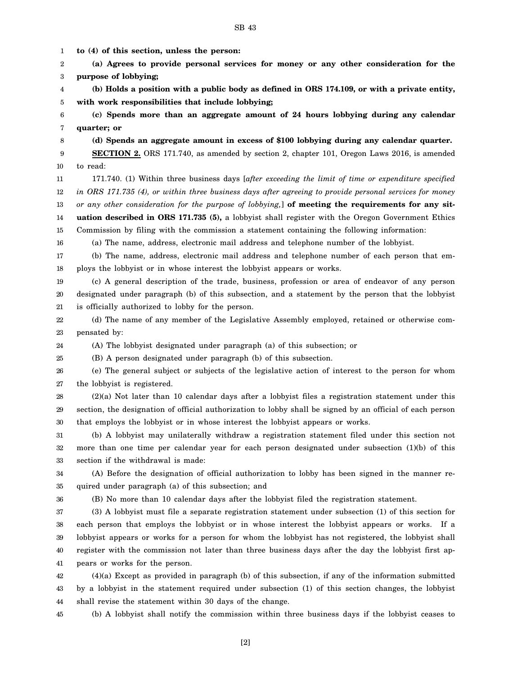1 2 3 4 5 6 7 8 9 10 11 12 13 14 15 16 17 18 19 20 21 22 23 24 25 26 27 28 29 30 31 32 33 34 35 36 37 38 39 40 41 42 43 44 **to (4) of this section, unless the person: (a) Agrees to provide personal services for money or any other consideration for the purpose of lobbying; (b) Holds a position with a public body as defined in ORS 174.109, or with a private entity, with work responsibilities that include lobbying; (c) Spends more than an aggregate amount of 24 hours lobbying during any calendar quarter; or (d) Spends an aggregate amount in excess of \$100 lobbying during any calendar quarter. SECTION 2.** ORS 171.740, as amended by section 2, chapter 101, Oregon Laws 2016, is amended to read: 171.740. (1) Within three business days [*after exceeding the limit of time or expenditure specified in ORS 171.735 (4), or within three business days after agreeing to provide personal services for money or any other consideration for the purpose of lobbying,*] **of meeting the requirements for any situation described in ORS 171.735 (5),** a lobbyist shall register with the Oregon Government Ethics Commission by filing with the commission a statement containing the following information: (a) The name, address, electronic mail address and telephone number of the lobbyist. (b) The name, address, electronic mail address and telephone number of each person that employs the lobbyist or in whose interest the lobbyist appears or works. (c) A general description of the trade, business, profession or area of endeavor of any person designated under paragraph (b) of this subsection, and a statement by the person that the lobbyist is officially authorized to lobby for the person. (d) The name of any member of the Legislative Assembly employed, retained or otherwise compensated by: (A) The lobbyist designated under paragraph (a) of this subsection; or (B) A person designated under paragraph (b) of this subsection. (e) The general subject or subjects of the legislative action of interest to the person for whom the lobbyist is registered. (2)(a) Not later than 10 calendar days after a lobbyist files a registration statement under this section, the designation of official authorization to lobby shall be signed by an official of each person that employs the lobbyist or in whose interest the lobbyist appears or works. (b) A lobbyist may unilaterally withdraw a registration statement filed under this section not more than one time per calendar year for each person designated under subsection (1)(b) of this section if the withdrawal is made: (A) Before the designation of official authorization to lobby has been signed in the manner required under paragraph (a) of this subsection; and (B) No more than 10 calendar days after the lobbyist filed the registration statement. (3) A lobbyist must file a separate registration statement under subsection (1) of this section for each person that employs the lobbyist or in whose interest the lobbyist appears or works. If a lobbyist appears or works for a person for whom the lobbyist has not registered, the lobbyist shall register with the commission not later than three business days after the day the lobbyist first appears or works for the person. (4)(a) Except as provided in paragraph (b) of this subsection, if any of the information submitted by a lobbyist in the statement required under subsection (1) of this section changes, the lobbyist shall revise the statement within 30 days of the change.

SB 43

45

(b) A lobbyist shall notify the commission within three business days if the lobbyist ceases to